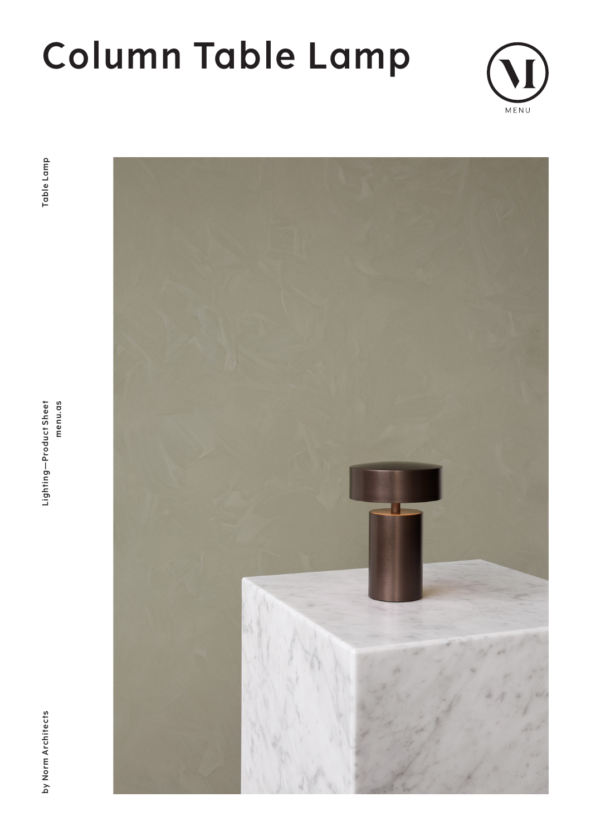# **Column Table Lamp**



by Norm Architects



menu.as Lighting-Product Sheet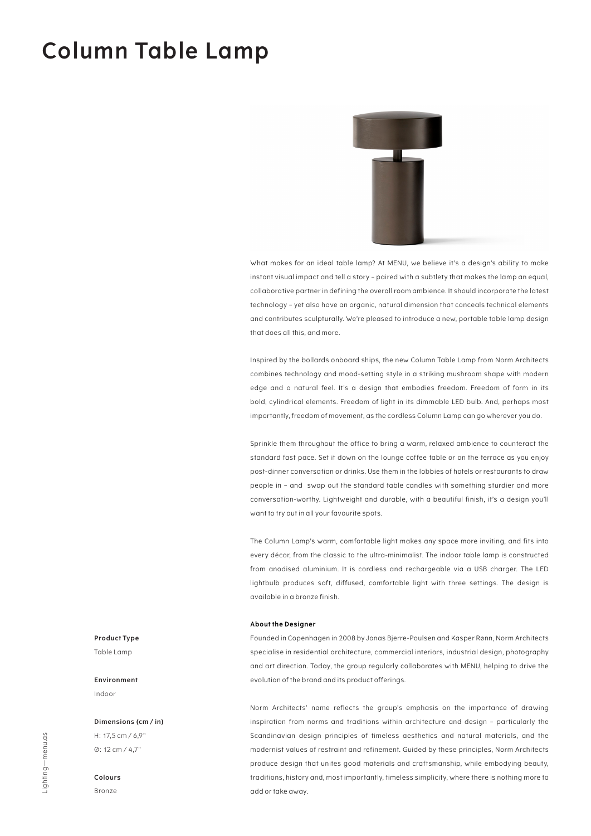### **Column Table Lamp**



What makes for an ideal table lamp? At MENU, we believe it's a design's ability to make instant visual impact and tell a story – paired with a subtlety that makes the lamp an equal, collaborative partner in defining the overall room ambience. It should incorporate the latest technology – yet also have an organic, natural dimension that conceals technical elements and contributes sculpturally. We're pleased to introduce a new, portable table lamp design that does all this, and more.

Inspired by the bollards onboard ships, the new Column Table Lamp from Norm Architects combines technology and mood-setting style in a striking mushroom shape with modern edge and a natural feel. It's a design that embodies freedom. Freedom of form in its bold, cylindrical elements. Freedom of light in its dimmable LED bulb. And, perhaps most importantly, freedom of movement, as the cordless Column Lamp can go wherever you do.

Sprinkle them throughout the office to bring a warm, relaxed ambience to counteract the standard fast pace. Set it down on the lounge coffee table or on the terrace as you enjoy post-dinner conversation or drinks. Use them in the lobbies of hotels or restaurants to draw people in – and swap out the standard table candles with something sturdier and more conversation-worthy. Lightweight and durable, with a beautiful finish, it's a design you'll want to try out in all your favourite spots.

The Column Lamp's warm, comfortable light makes any space more inviting, and fits into every décor, from the classic to the ultra-minimalist. The indoor table lamp is constructed from anodised aluminium. It is cordless and rechargeable via a USB charger. The LED lightbulb produces soft, diffused, comfortable light with three settings. The design is available in a bronze finish.

#### **About the Designer**

Founded in Copenhagen in 2008 by Jonas Bjerre-Poulsen and Kasper Rønn, Norm Architects specialise in residential architecture, commercial interiors, industrial design, photography and art direction. Today, the group regularly collaborates with MENU, helping to drive the evolution of the brand and its product offerings.

Norm Architects' name reflects the group's emphasis on the importance of drawing inspiration from norms and traditions within architecture and design – particularly the Scandinavian design principles of timeless aesthetics and natural materials, and the modernist values of restraint and refinement. Guided by these principles, Norm Architects produce design that unites good materials and craftsmanship, while embodying beauty, traditions, history and, most importantly, timeless simplicity, where there is nothing more to add or take away.

#### **Product Type**

Table Lamp

#### **Environment** Indoor

**Dimensions (cm / in)** H: 17,5 cm / 6,9" Ø: 12 cm / 4,7"

#### **Colours**

Bronze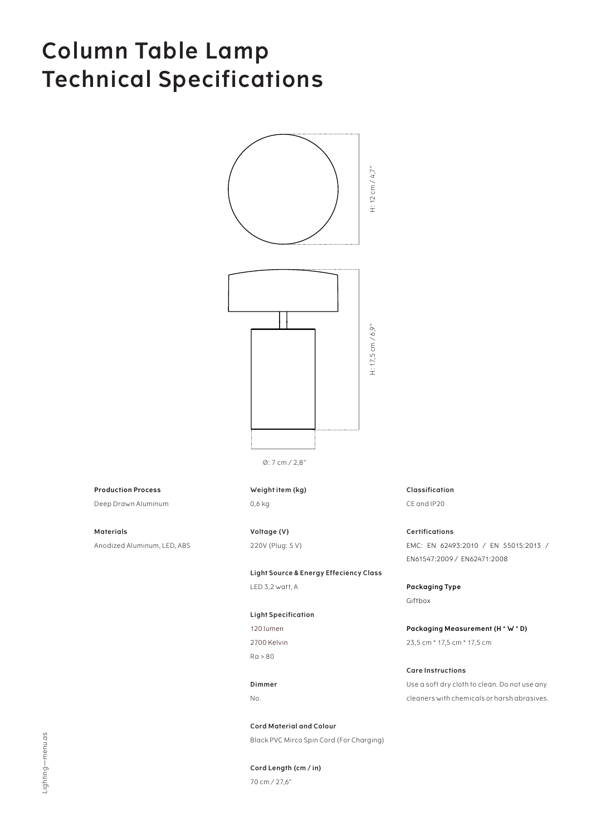### **Column Table Lamp Technical Specifications**





Ø: 7 cm / 2,8"

**Production Process**

Deep Drawn Aluminum

**Materials** Anodized Aluminum, LED, ABS **Weight item (kg)** 0,6 kg

**Voltage (V)** 220V (Plug: 5 V)

**Light Source & Energy Effeciency Class** LED 3,2 watt, A

#### **Light Specification**

120 lumen 2700 Kelvin Ra > 80

**Dimmer** No.

**Cord Material and Colour** Black PVC Mirco Spin Cord (For Charging)

**Cord Length (cm / in)** 70 cm / 27,6"

**Classification** CE and IP20

**Certifications** EMC: EN 62493:2010 / EN 55015:2013 / EN61547:2009 / EN62471:2008

**Packaging Type** Giftbox

**Packaging Measurement (H \* W \* D)** 23,5 cm \* 17,5 cm \* 17,5 cm

### **Care Instructions**

Use a soft dry cloth to clean. Do not use any cleaners with chemicals or harsh abrasives.